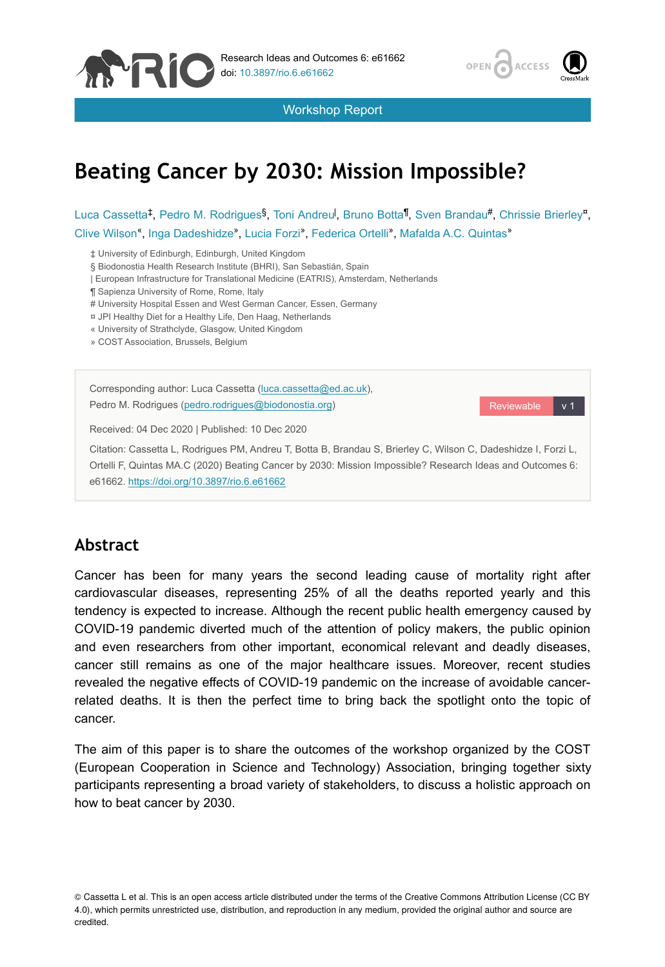

Workshop Report



# **Beating Cancer by 2030: Mission Impossible?**

Luca Cassetta<sup>‡</sup>, Pedro M. Rodrigues<sup>§</sup>, Toni Andreu<sup>l</sup>, Bruno Botta<sup>¶</sup>, Sven Brandau<sup>#</sup>, Chrissie Brierley<sup>n</sup>, Clive Wilson", Inga Dadeshidze", Lucia Forzi", Federica Ortelli", Mafalda A.C. Quintas"

‡ University of Edinburgh, Edinburgh, United Kingdom

§ Biodonostia Health Research Institute (BHRI), San Sebastián, Spain

| European Infrastructure for Translational Medicine (EATRIS), Amsterdam, Netherlands

¶ Sapienza University of Rome, Rome, Italy

# University Hospital Essen and West German Cancer, Essen, Germany

¤ JPI Healthy Diet for a Healthy Life, Den Haag, Netherlands

« University of Strathclyde, Glasgow, United Kingdom

» COST Association, Brussels, Belgium

| Corresponding author: Luca Cassetta (luca.cassetta@ed.ac.uk),<br>Pedro M. Rodrigues (pedro.rodrigues@biodonostia.org) | Reviewable | v <sub>1</sub> |  |  |
|-----------------------------------------------------------------------------------------------------------------------|------------|----------------|--|--|
| Received: 04 Dec 2020   Published: 10 Dec 2020                                                                        |            |                |  |  |
| Citation: Cassetta L, Rodrigues PM, Andreu T, Botta B, Brandau S, Brierley C, Wilson C, Dadeshidze I, Forzi L,        |            |                |  |  |
| Ortelli F, Quintas MA.C (2020) Beating Cancer by 2030: Mission Impossible? Research Ideas and Outcomes 6:             |            |                |  |  |
| e61662. https://doi.org/10.3897/rio.6.e61662                                                                          |            |                |  |  |

## **Abstract**

Cancer has been for many years the second leading cause of mortality right after cardiovascular diseases, representing 25% of all the deaths reported yearly and this tendency is expected to increase. Although the recent public health emergency caused by COVID-19 pandemic diverted much of the attention of policy makers, the public opinion and even researchers from other important, economical relevant and deadly diseases, cancer still remains as one of the major healthcare issues. Moreover, recent studies revealed the negative effects of COVID-19 pandemic on the increase of avoidable cancerrelated deaths. It is then the perfect time to bring back the spotlight onto the topic of cancer.

The aim of this paper is to share the outcomes of the workshop organized by the COST (European Cooperation in Science and Technology) Association, bringing together sixty participants representing a broad variety of stakeholders, to discuss a holistic approach on how to beat cancer by 2030.

<sup>©</sup> Cassetta L et al. This is an open access article distributed under the terms of the Creative Commons Attribution License (CC BY 4.0), which permits unrestricted use, distribution, and reproduction in any medium, provided the original author and source are credited.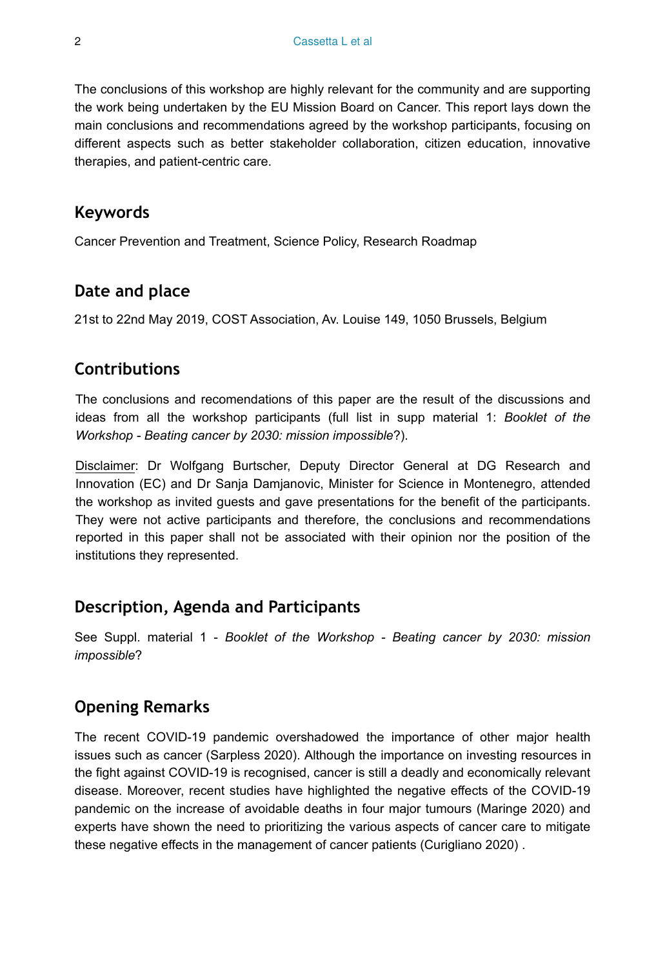The conclusions of this workshop are highly relevant for the community and are supporting the work being undertaken by the EU Mission Board on Cancer. This report lays down the main conclusions and recommendations agreed by the workshop participants, focusing on different aspects such as better stakeholder collaboration, citizen education, innovative therapies, and patient-centric care.

## **Keywords**

Cancer Prevention and Treatment, Science Policy, Research Roadmap

# **Date and place**

21st to 22nd May 2019, COST Association, Av. Louise 149, 1050 Brussels, Belgium

## **Contributions**

The conclusions and recomendations of this paper are the result of the discussions and ideas from all the workshop participants (full list in supp material 1: *Booklet of the Workshop - Beating cancer by 2030: mission impossible*?).

Disclaimer: Dr Wolfgang Burtscher, Deputy Director General at DG Research and Innovation (EC) and Dr Sanja Damjanovic, Minister for Science in Montenegro, attended the workshop as invited guests and gave presentations for the benefit of the participants. They were not active participants and therefore, the conclusions and recommendations reported in this paper shall not be associated with their opinion nor the position of the institutions they represented.

## **Description, Agenda and Participants**

See Suppl. material 1 - *Booklet of the Workshop - Beating cancer by 2030: mission impossible*?

# **Opening Remarks**

The recent COVID-19 pandemic overshadowed the importance of other major health issues such as cancer (Sarpless 2020). Although the importance on investing resources in the fight against COVID-19 is recognised, cancer is still a deadly and economically relevant disease. Moreover, recent studies have highlighted the negative effects of the COVID-19 pandemic on the increase of avoidable deaths in four major tumours (Maringe 2020) and experts have shown the need to prioritizing the various aspects of cancer care to mitigate these negative effects in the management of cancer patients (Curigliano 2020) .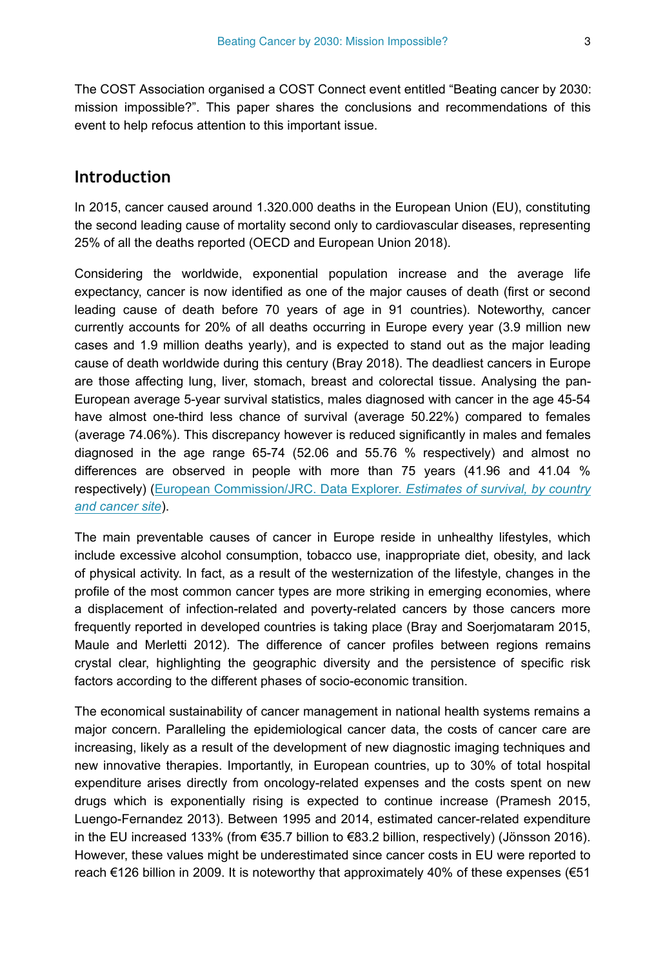The COST Association organised a COST Connect event entitled "Beating cancer by 2030: mission impossible?". This paper shares the conclusions and recommendations of this event to help refocus attention to this important issue.

## **Introduction**

In 2015, cancer caused around 1.320.000 deaths in the European Union (EU), constituting the second leading cause of mortality second only to cardiovascular diseases, representing 25% of all the deaths reported (OECD and European Union 2018).

Considering the worldwide, exponential population increase and the average life expectancy, cancer is now identified as one of the major causes of death (first or second leading cause of death before 70 years of age in 91 countries). Noteworthy, cancer currently accounts for 20% of all deaths occurring in Europe every year (3.9 million new cases and 1.9 million deaths yearly), and is expected to stand out as the major leading cause of death worldwide during this century (Bray 2018). The deadliest cancers in Europe are those affecting lung, liver, stomach, breast and colorectal tissue. Analysing the pan-European average 5-year survival statistics, males diagnosed with cancer in the age 45-54 have almost one-third less chance of survival (average 50.22%) compared to females (average 74.06%). This discrepancy however is reduced significantly in males and females diagnosed in the age range 65-74 (52.06 and 55.76 % respectively) and almost no differences are observed in people with more than 75 years (41.96 and 41.04 % respectively) ([European Commission/JRC. Data Explorer.](https://ecis.jrc.ec.europa.eu/explorer.php?%240-2%241-AEE%242-All%244-1,2%243-0%246-0,14%245-2000,2007%247-1%24CRelativeSurvivalAgeGroup%24X0_14-%24X0_15-RSC%24CRelativeSurvivalFollow%24X1_14-%24X1_-1-%24X1_15-RSC) *[Estimates of survival, by country](https://ecis.jrc.ec.europa.eu/explorer.php?%240-2%241-AEE%242-All%244-1,2%243-0%246-0,14%245-2000,2007%247-1%24CRelativeSurvivalAgeGroup%24X0_14-%24X0_15-RSC%24CRelativeSurvivalFollow%24X1_14-%24X1_-1-%24X1_15-RSC) [and cancer site](https://ecis.jrc.ec.europa.eu/explorer.php?%240-2%241-AEE%242-All%244-1,2%243-0%246-0,14%245-2000,2007%247-1%24CRelativeSurvivalAgeGroup%24X0_14-%24X0_15-RSC%24CRelativeSurvivalFollow%24X1_14-%24X1_-1-%24X1_15-RSC)*).

The main preventable causes of cancer in Europe reside in unhealthy lifestyles, which include excessive alcohol consumption, tobacco use, inappropriate diet, obesity, and lack of physical activity. In fact, as a result of the westernization of the lifestyle, changes in the profile of the most common cancer types are more striking in emerging economies, where a displacement of infection-related and poverty-related cancers by those cancers more frequently reported in developed countries is taking place (Bray and Soerjomataram 2015, Maule and Merletti 2012). The difference of cancer profiles between regions remains crystal clear, highlighting the geographic diversity and the persistence of specific risk factors according to the different phases of socio-economic transition.

The economical sustainability of cancer management in national health systems remains a major concern. Paralleling the epidemiological cancer data, the costs of cancer care are increasing, likely as a result of the development of new diagnostic imaging techniques and new innovative therapies. Importantly, in European countries, up to 30% of total hospital expenditure arises directly from oncology-related expenses and the costs spent on new drugs which is exponentially rising is expected to continue increase (Pramesh 2015, Luengo-Fernandez 2013). Between 1995 and 2014, estimated cancer-related expenditure in the EU increased 133% (from €35.7 billion to €83.2 billion, respectively) (Jönsson 2016). However, these values might be underestimated since cancer costs in EU were reported to reach €126 billion in 2009. It is noteworthy that approximately 40% of these expenses (€51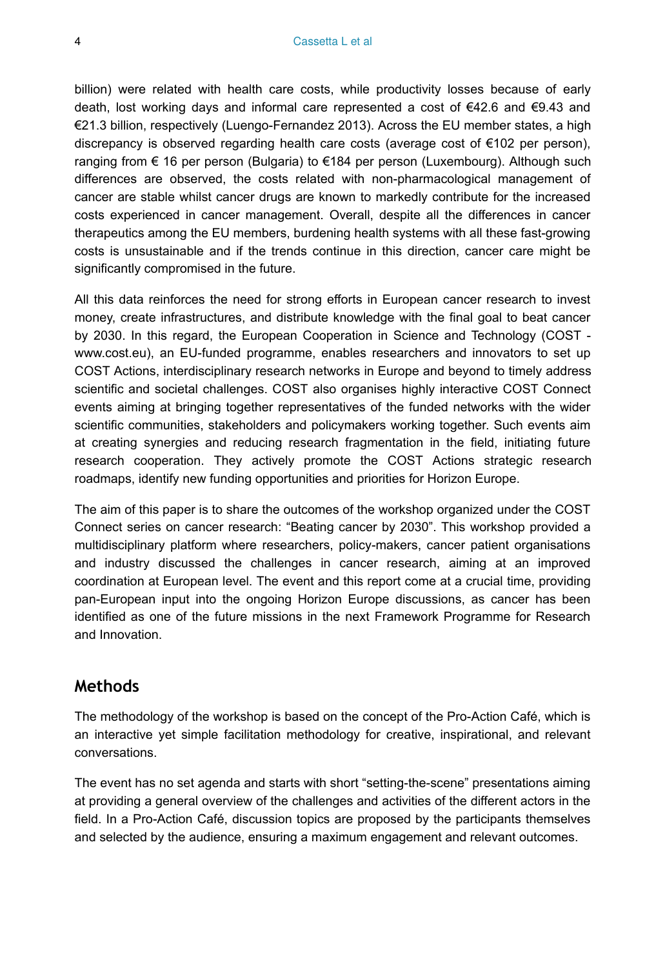billion) were related with health care costs, while productivity losses because of early death, lost working days and informal care represented a cost of €42.6 and €9.43 and €21.3 billion, respectively (Luengo-Fernandez 2013). Across the EU member states, a high discrepancy is observed regarding health care costs (average cost of  $\epsilon$ 102 per person), ranging from € 16 per person (Bulgaria) to €184 per person (Luxembourg). Although such differences are observed, the costs related with non-pharmacological management of cancer are stable whilst cancer drugs are known to markedly contribute for the increased costs experienced in cancer management. Overall, despite all the differences in cancer therapeutics among the EU members, burdening health systems with all these fast-growing costs is unsustainable and if the trends continue in this direction, cancer care might be significantly compromised in the future.

All this data reinforces the need for strong efforts in European cancer research to invest money, create infrastructures, and distribute knowledge with the final goal to beat cancer by 2030. In this regard, the European Cooperation in Science and Technology (COST www.cost.eu), an EU-funded programme, enables researchers and innovators to set up COST Actions, interdisciplinary research networks in Europe and beyond to timely address scientific and societal challenges. COST also organises highly interactive COST Connect events aiming at bringing together representatives of the funded networks with the wider scientific communities, stakeholders and policymakers working together. Such events aim at creating synergies and reducing research fragmentation in the field, initiating future research cooperation. They actively promote the COST Actions strategic research roadmaps, identify new funding opportunities and priorities for Horizon Europe.

The aim of this paper is to share the outcomes of the workshop organized under the COST Connect series on cancer research: "Beating cancer by 2030". This workshop provided a multidisciplinary platform where researchers, policy-makers, cancer patient organisations and industry discussed the challenges in cancer research, aiming at an improved coordination at European level. The event and this report come at a crucial time, providing pan-European input into the ongoing Horizon Europe discussions, as cancer has been identified as one of the future missions in the next Framework Programme for Research and Innovation.

#### **Methods**

The methodology of the workshop is based on the concept of the Pro-Action Café, which is an interactive yet simple facilitation methodology for creative, inspirational, and relevant conversations.

The event has no set agenda and starts with short "setting-the-scene" presentations aiming at providing a general overview of the challenges and activities of the different actors in the field. In a Pro-Action Café, discussion topics are proposed by the participants themselves and selected by the audience, ensuring a maximum engagement and relevant outcomes.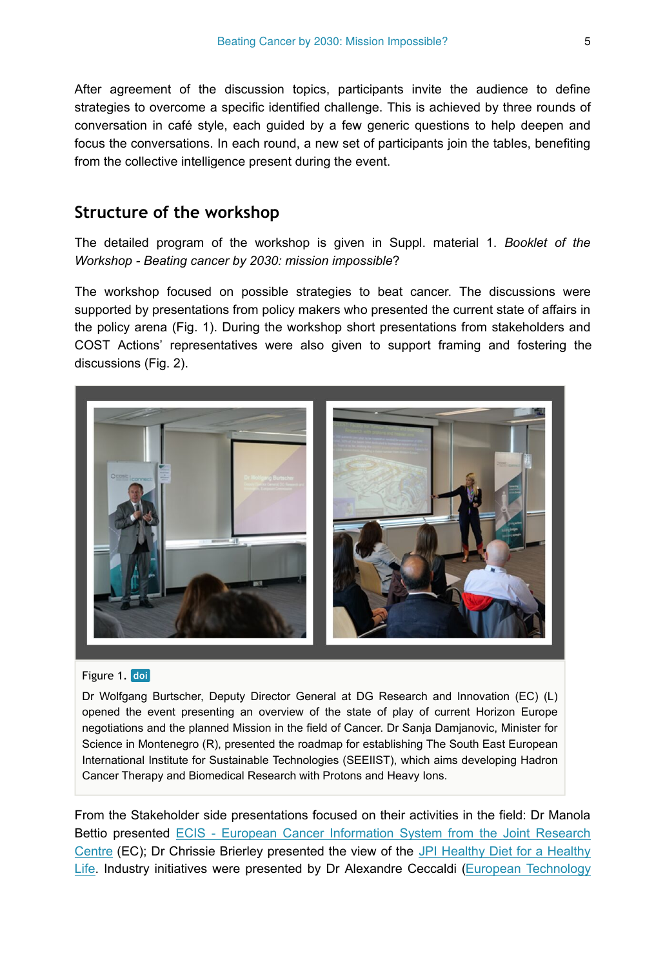After agreement of the discussion topics, participants invite the audience to define strategies to overcome a specific identified challenge. This is achieved by three rounds of conversation in café style, each guided by a few generic questions to help deepen and focus the conversations. In each round, a new set of participants join the tables, benefiting from the collective intelligence present during the event.

## **Structure of the workshop**

The detailed program of the workshop is given in Suppl. material 1. *Booklet of the Workshop - Beating cancer by 2030: mission impossible*?

The workshop focused on possible strategies to beat cancer. The discussions were supported by presentations from policy makers who presented the current state of affairs in the policy arena (Fig. 1). During the workshop short presentations from stakeholders and COST Actions' representatives were also given to support framing and fostering the discussions (Fig. 2).



#### Figure 1. doi

Dr Wolfgang Burtscher, Deputy Director General at DG Research and Innovation (EC) (L) opened the event presenting an overview of the state of play of current Horizon Europe negotiations and the planned Mission in the field of Cancer. Dr Sanja Damjanovic, Minister for Science in Montenegro (R), presented the roadmap for establishing The South East European International Institute for Sustainable Technologies (SEEIIST), which aims developing Hadron Cancer Therapy and Biomedical Research with Protons and Heavy Ions.

From the Stakeholder side presentations focused on their activities in the field: Dr Manola Bettio presented [ECIS - European Cancer Information System from the Joint Research](https://ecis.jrc.ec.europa.eu/) [Centre](https://ecis.jrc.ec.europa.eu/) (EC); Dr Chrissie Brierley presented the view of the [JPI Healthy Diet for a Healthy](https://www.healthydietforhealthylife.eu/) [Life.](https://www.healthydietforhealthylife.eu/) Industry initiatives were presented by Dr Alexandre Ceccaldi [\(European Technology](https://etp-nanomedicine.eu/)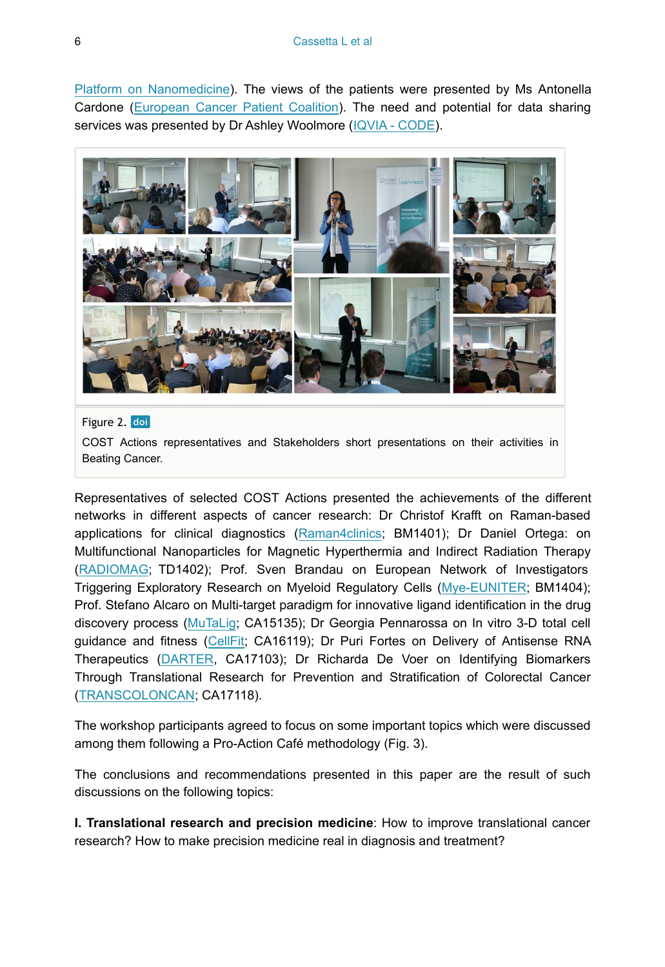[Platform on Nanomedicine\)](https://etp-nanomedicine.eu/). The views of the patients were presented by Ms Antonella Cardone [\(European Cancer Patient Coalition](https://ecpc.org/)). The need and potential for data sharing services was presented by Dr Ashley Woolmore [\(IQVIA - CODE\)](https://www.iqvia.com/solutions/real-world-evidence/evidence-networks/oncology-data-network).



#### Figure 2. doi

COST Actions representatives and Stakeholders short presentations on their activities in Beating Cancer.

Representatives of selected COST Actions presented the achievements of the different networks in different aspects of cancer research: Dr Christof Krafft on Raman-based applications for clinical diagnostics ([Raman4clinics](https://www.raman4clinics.eu/); BM1401); Dr Daniel Ortega: on Multifunctional Nanoparticles for Magnetic Hyperthermia and Indirect Radiation Therapy [\(RADIOMAG](http://www.cost-radiomag.eu/); TD1402); Prof. Sven Brandau on European Network of Investigators Triggering Exploratory Research on Myeloid Regulatory Cells [\(Mye-EUNITER](http://www.mye-euniter.eu/); BM1404); Prof. Stefano Alcaro on Multi-target paradigm for innovative ligand identification in the drug discovery process ([MuTaLig;](http://www.mutalig.eu/) CA15135); Dr Georgia Pennarossa on In vitro 3-D total cell guidance and fitness [\(CellFit;](http://cost-cellfit.eu/) CA16119); Dr Puri Fortes on Delivery of Antisense RNA Therapeutics [\(DARTER](https://www.antisenserna.eu/), CA17103); Dr Richarda De Voer on Identifying Biomarkers Through Translational Research for Prevention and Stratification of Colorectal Cancer [\(TRANSCOLONCAN;](https://www.transcoloncan.eu/) CA17118).

The workshop participants agreed to focus on some important topics which were discussed among them following a Pro-Action Café methodology (Fig. 3).

The conclusions and recommendations presented in this paper are the result of such discussions on the following topics:

**I. Translational research and precision medicine**: How to improve translational cancer research? How to make precision medicine real in diagnosis and treatment?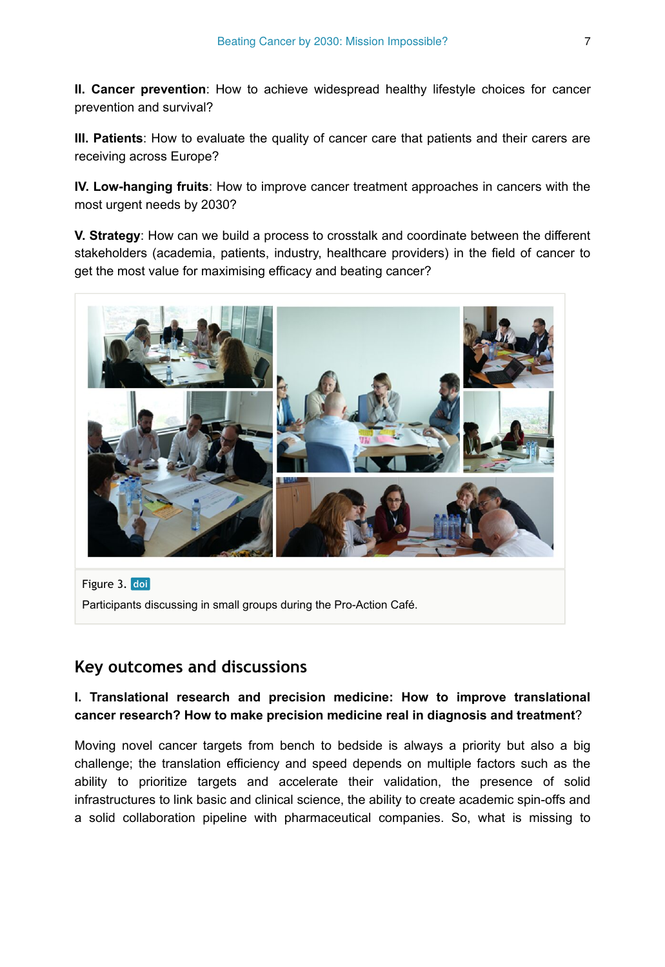**II. Cancer prevention**: How to achieve widespread healthy lifestyle choices for cancer prevention and survival?

**III. Patients**: How to evaluate the quality of cancer care that patients and their carers are receiving across Europe?

**IV. Low-hanging fruits**: How to improve cancer treatment approaches in cancers with the most urgent needs by 2030?

**V. Strategy**: How can we build a process to crosstalk and coordinate between the different stakeholders (academia, patients, industry, healthcare providers) in the field of cancer to get the most value for maximising efficacy and beating cancer?



Figure 3. doi Participants discussing in small groups during the Pro-Action Café.

## **Key outcomes and discussions**

#### **I. Translational research and precision medicine: How to improve translational cancer research? How to make precision medicine real in diagnosis and treatment**?

Moving novel cancer targets from bench to bedside is always a priority but also a big challenge; the translation efficiency and speed depends on multiple factors such as the ability to prioritize targets and accelerate their validation, the presence of solid infrastructures to link basic and clinical science, the ability to create academic spin-offs and a solid collaboration pipeline with pharmaceutical companies. So, what is missing to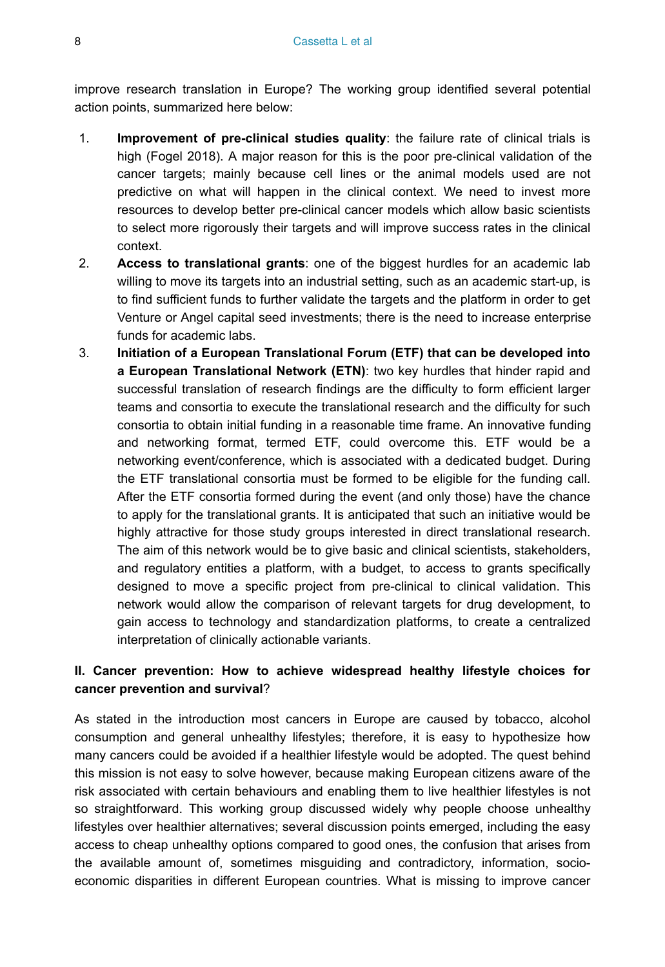improve research translation in Europe? The working group identified several potential action points, summarized here below:

- 1. **Improvement of pre-clinical studies quality**: the failure rate of clinical trials is high (Fogel 2018). A major reason for this is the poor pre-clinical validation of the cancer targets; mainly because cell lines or the animal models used are not predictive on what will happen in the clinical context. We need to invest more resources to develop better pre-clinical cancer models which allow basic scientists to select more rigorously their targets and will improve success rates in the clinical context.
- 2. **Access to translational grants**: one of the biggest hurdles for an academic lab willing to move its targets into an industrial setting, such as an academic start-up, is to find sufficient funds to further validate the targets and the platform in order to get Venture or Angel capital seed investments; there is the need to increase enterprise funds for academic labs.
- 3. **Initiation of a European Translational Forum (ETF) that can be developed into a European Translational Network (ETN)**: two key hurdles that hinder rapid and successful translation of research findings are the difficulty to form efficient larger teams and consortia to execute the translational research and the difficulty for such consortia to obtain initial funding in a reasonable time frame. An innovative funding and networking format, termed ETF, could overcome this. ETF would be a networking event/conference, which is associated with a dedicated budget. During the ETF translational consortia must be formed to be eligible for the funding call. After the ETF consortia formed during the event (and only those) have the chance to apply for the translational grants. It is anticipated that such an initiative would be highly attractive for those study groups interested in direct translational research. The aim of this network would be to give basic and clinical scientists, stakeholders, and regulatory entities a platform, with a budget, to access to grants specifically designed to move a specific project from pre-clinical to clinical validation. This network would allow the comparison of relevant targets for drug development, to gain access to technology and standardization platforms, to create a centralized interpretation of clinically actionable variants.

#### **II. Cancer prevention: How to achieve widespread healthy lifestyle choices for cancer prevention and survival**?

As stated in the introduction most cancers in Europe are caused by tobacco, alcohol consumption and general unhealthy lifestyles; therefore, it is easy to hypothesize how many cancers could be avoided if a healthier lifestyle would be adopted. The quest behind this mission is not easy to solve however, because making European citizens aware of the risk associated with certain behaviours and enabling them to live healthier lifestyles is not so straightforward. This working group discussed widely why people choose unhealthy lifestyles over healthier alternatives; several discussion points emerged, including the easy access to cheap unhealthy options compared to good ones, the confusion that arises from the available amount of, sometimes misguiding and contradictory, information, socioeconomic disparities in different European countries. What is missing to improve cancer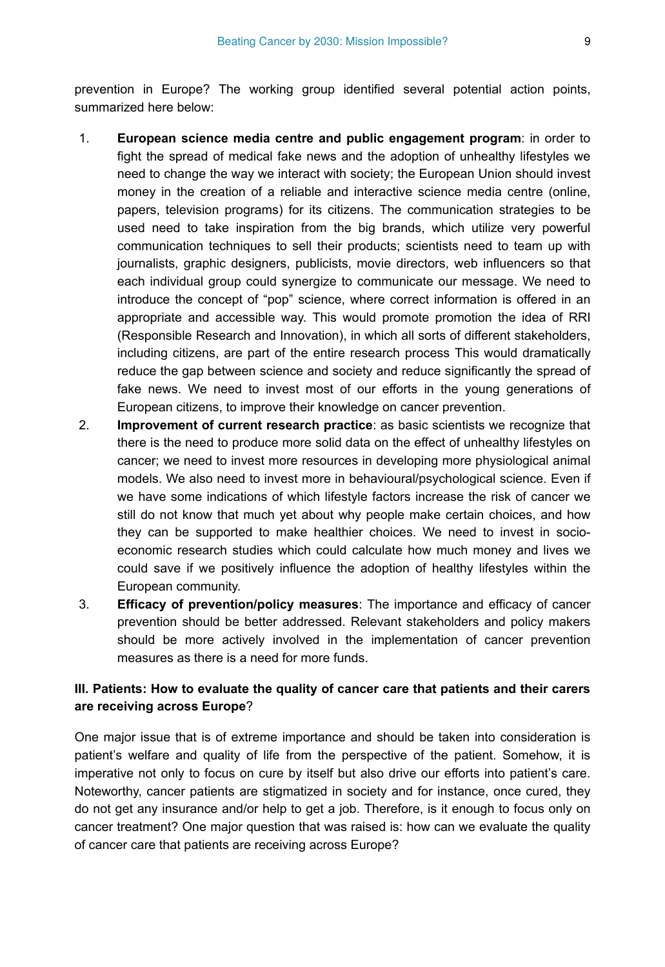prevention in Europe? The working group identified several potential action points, summarized here below:

- 1. **European science media centre and public engagement program**: in order to fight the spread of medical fake news and the adoption of unhealthy lifestyles we need to change the way we interact with society; the European Union should invest money in the creation of a reliable and interactive science media centre (online, papers, television programs) for its citizens. The communication strategies to be used need to take inspiration from the big brands, which utilize very powerful communication techniques to sell their products; scientists need to team up with journalists, graphic designers, publicists, movie directors, web influencers so that each individual group could synergize to communicate our message. We need to introduce the concept of "pop" science, where correct information is offered in an appropriate and accessible way. This would promote promotion the idea of RRI (Responsible Research and Innovation), in which all sorts of different stakeholders, including citizens, are part of the entire research process This would dramatically reduce the gap between science and society and reduce significantly the spread of fake news. We need to invest most of our efforts in the young generations of European citizens, to improve their knowledge on cancer prevention.
- 2. **Improvement of current research practice**: as basic scientists we recognize that there is the need to produce more solid data on the effect of unhealthy lifestyles on cancer; we need to invest more resources in developing more physiological animal models. We also need to invest more in behavioural/psychological science. Even if we have some indications of which lifestyle factors increase the risk of cancer we still do not know that much yet about why people make certain choices, and how they can be supported to make healthier choices. We need to invest in socioeconomic research studies which could calculate how much money and lives we could save if we positively influence the adoption of healthy lifestyles within the European community.
- 3. **Efficacy of prevention/policy measures**: The importance and efficacy of cancer prevention should be better addressed. Relevant stakeholders and policy makers should be more actively involved in the implementation of cancer prevention measures as there is a need for more funds.

#### **III. Patients: How to evaluate the quality of cancer care that patients and their carers are receiving across Europe**?

One major issue that is of extreme importance and should be taken into consideration is patient's welfare and quality of life from the perspective of the patient. Somehow, it is imperative not only to focus on cure by itself but also drive our efforts into patient's care. Noteworthy, cancer patients are stigmatized in society and for instance, once cured, they do not get any insurance and/or help to get a job. Therefore, is it enough to focus only on cancer treatment? One major question that was raised is: how can we evaluate the quality of cancer care that patients are receiving across Europe?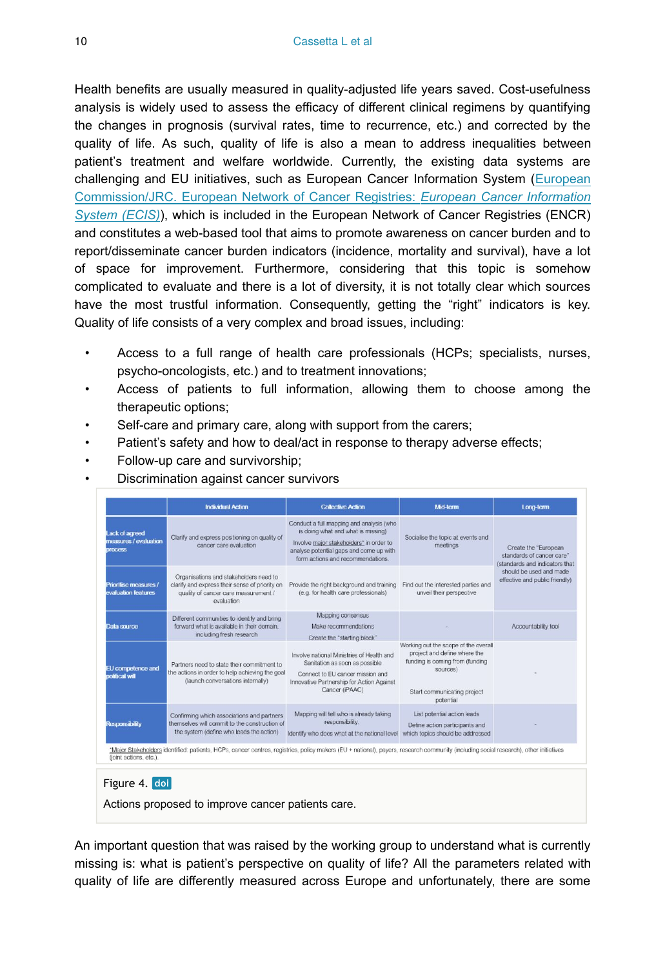Health benefits are usually measured in quality-adjusted life years saved. Cost-usefulness analysis is widely used to assess the efficacy of different clinical regimens by quantifying the changes in prognosis (survival rates, time to recurrence, etc.) and corrected by the quality of life. As such, quality of life is also a mean to address inequalities between patient's treatment and welfare worldwide. Currently, the existing data systems are challenging and EU initiatives, such as European Cancer Information System [\(European](https://www.encr.eu/news/european-cancer-information-system-ecis-web-application-released) [Commission/JRC. European Network of Cancer Registries:](https://www.encr.eu/news/european-cancer-information-system-ecis-web-application-released) *[European Cancer Information](https://www.encr.eu/news/european-cancer-information-system-ecis-web-application-released) [System \(ECIS\)](https://www.encr.eu/news/european-cancer-information-system-ecis-web-application-released)*), which is included in the European Network of Cancer Registries (ENCR) and constitutes a web-based tool that aims to promote awareness on cancer burden and to report/disseminate cancer burden indicators (incidence, mortality and survival), have a lot of space for improvement. Furthermore, considering that this topic is somehow complicated to evaluate and there is a lot of diversity, it is not totally clear which sources have the most trustful information. Consequently, getting the "right" indicators is key. Quality of life consists of a very complex and broad issues, including:

- Access to a full range of health care professionals (HCPs; specialists, nurses, psycho-oncologists, etc.) and to treatment innovations;
- Access of patients to full information, allowing them to choose among the therapeutic options;
- Self-care and primary care, along with support from the carers;
- Patient's safety and how to deal/act in response to therapy adverse effects;
- Follow-up care and survivorship;
- Discrimination against cancer survivors

|                                                           | <b>Individual Action</b>                                                                                                                       | <b>Collective Action</b>                                                                                                                                                                                  | <b>Mid-term</b>                                                                                                                                                 | Long-term                                                                                                                                        |  |
|-----------------------------------------------------------|------------------------------------------------------------------------------------------------------------------------------------------------|-----------------------------------------------------------------------------------------------------------------------------------------------------------------------------------------------------------|-----------------------------------------------------------------------------------------------------------------------------------------------------------------|--------------------------------------------------------------------------------------------------------------------------------------------------|--|
| Lack of agreed<br>measures / evaluation<br><b>process</b> | Clarify and express positioning on quality of<br>cancer care evaluation                                                                        | Conduct a full mapping and analysis (who<br>is doing what and what is missing)<br>Involve major stakeholders" in order to<br>analyse potential gaps and come up with<br>form actions and recommendations. | Socialise the topic at events and<br>meetings                                                                                                                   | Create the "European<br>standards of cancer care"<br>(standards and indicators that<br>should be used and made<br>effective and public friendly) |  |
| Prioritise measures /<br>evaluation features              | Organisations and stakeholders need to<br>clarify and express their sense of priority on<br>quality of cancer care measurement /<br>evaluation | Provide the right background and training<br>(e.g. for health care professionals)                                                                                                                         | Find out the interested parties and<br>unveil their perspective                                                                                                 |                                                                                                                                                  |  |
| Data source                                               | Different communities to identify and bring<br>forward what is available in their domain.<br>including fresh research                          | Mapping consensus<br>Make recommendations<br>Create the "starting block"                                                                                                                                  |                                                                                                                                                                 | Accountability tool                                                                                                                              |  |
| EU competence and<br>political will                       | Partners need to state their commitment to<br>the actions in order to help achieving the goal<br>(launch conversations internally)             | Involve national Ministries of Health and<br>Sanitation as soon as possible<br>Connect to EU cancer mission and<br>Innovative Partnership for Action Against<br>Cancer (iPAAC)                            | Working out the scope of the overall<br>project and define where the<br>funding is coming from (funding<br>sources)<br>Start communicating project<br>potential |                                                                                                                                                  |  |
| <b>Responsibility</b>                                     | Confirming which associations and partners<br>themselves will commit to the construction of<br>the system (define who leads the action)        | Mapping will tell who is already taking<br>responsibility.<br>Identify who does what at the national level                                                                                                | List potential action leads<br>Define action participants and<br>which topics should be addressed                                                               |                                                                                                                                                  |  |

#### Figure 4. doi

Actions proposed to improve cancer patients care.

An important question that was raised by the working group to understand what is currently missing is: what is patient's perspective on quality of life? All the parameters related with quality of life are differently measured across Europe and unfortunately, there are some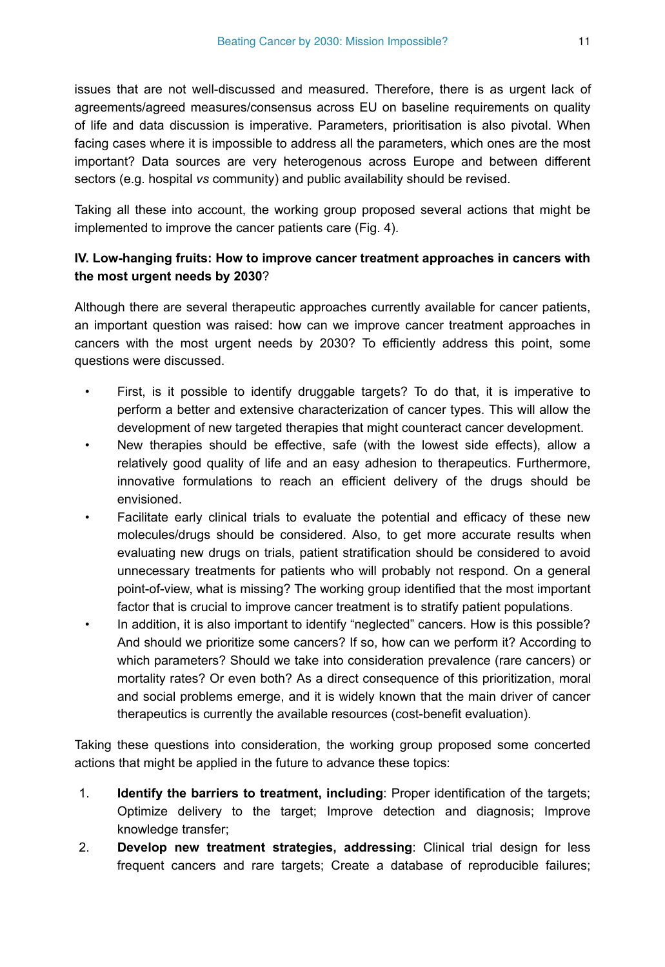issues that are not well-discussed and measured. Therefore, there is as urgent lack of agreements/agreed measures/consensus across EU on baseline requirements on quality of life and data discussion is imperative. Parameters, prioritisation is also pivotal. When facing cases where it is impossible to address all the parameters, which ones are the most important? Data sources are very heterogenous across Europe and between different sectors (e.g. hospital *vs* community) and public availability should be revised.

Taking all these into account, the working group proposed several actions that might be implemented to improve the cancer patients care (Fig. 4).

#### **IV. Low-hanging fruits: How to improve cancer treatment approaches in cancers with the most urgent needs by 2030**?

Although there are several therapeutic approaches currently available for cancer patients, an important question was raised: how can we improve cancer treatment approaches in cancers with the most urgent needs by 2030? To efficiently address this point, some questions were discussed.

- First, is it possible to identify druggable targets? To do that, it is imperative to perform a better and extensive characterization of cancer types. This will allow the development of new targeted therapies that might counteract cancer development.
- New therapies should be effective, safe (with the lowest side effects), allow a relatively good quality of life and an easy adhesion to therapeutics. Furthermore, innovative formulations to reach an efficient delivery of the drugs should be envisioned.
- Facilitate early clinical trials to evaluate the potential and efficacy of these new molecules/drugs should be considered. Also, to get more accurate results when evaluating new drugs on trials, patient stratification should be considered to avoid unnecessary treatments for patients who will probably not respond. On a general point-of-view, what is missing? The working group identified that the most important factor that is crucial to improve cancer treatment is to stratify patient populations.
- In addition, it is also important to identify "neglected" cancers. How is this possible? And should we prioritize some cancers? If so, how can we perform it? According to which parameters? Should we take into consideration prevalence (rare cancers) or mortality rates? Or even both? As a direct consequence of this prioritization, moral and social problems emerge, and it is widely known that the main driver of cancer therapeutics is currently the available resources (cost-benefit evaluation).

Taking these questions into consideration, the working group proposed some concerted actions that might be applied in the future to advance these topics:

- 1. **Identify the barriers to treatment, including**: Proper identification of the targets; Optimize delivery to the target; Improve detection and diagnosis; Improve knowledge transfer;
- 2. **Develop new treatment strategies, addressing**: Clinical trial design for less frequent cancers and rare targets; Create a database of reproducible failures;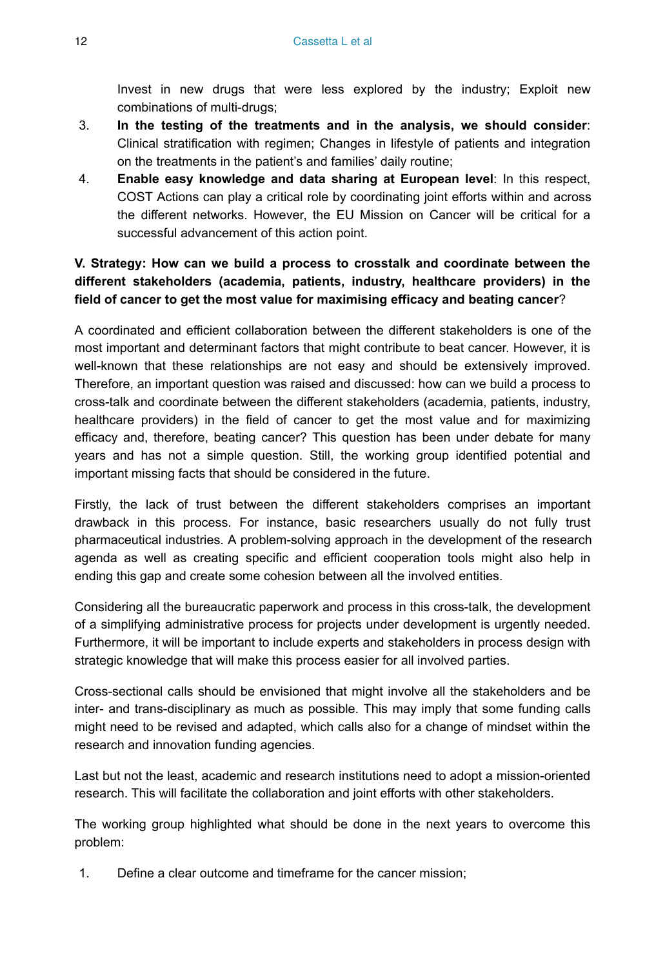Invest in new drugs that were less explored by the industry; Exploit new combinations of multi-drugs;

- 3. **In the testing of the treatments and in the analysis, we should consider**: Clinical stratification with regimen; Changes in lifestyle of patients and integration on the treatments in the patient's and families' daily routine;
- 4. **Enable easy knowledge and data sharing at European level**: In this respect, COST Actions can play a critical role by coordinating joint efforts within and across the different networks. However, the EU Mission on Cancer will be critical for a successful advancement of this action point.

#### **V. Strategy: How can we build a process to crosstalk and coordinate between the different stakeholders (academia, patients, industry, healthcare providers) in the field of cancer to get the most value for maximising efficacy and beating cancer**?

A coordinated and efficient collaboration between the different stakeholders is one of the most important and determinant factors that might contribute to beat cancer. However, it is well-known that these relationships are not easy and should be extensively improved. Therefore, an important question was raised and discussed: how can we build a process to cross-talk and coordinate between the different stakeholders (academia, patients, industry, healthcare providers) in the field of cancer to get the most value and for maximizing efficacy and, therefore, beating cancer? This question has been under debate for many years and has not a simple question. Still, the working group identified potential and important missing facts that should be considered in the future.

Firstly, the lack of trust between the different stakeholders comprises an important drawback in this process. For instance, basic researchers usually do not fully trust pharmaceutical industries. A problem-solving approach in the development of the research agenda as well as creating specific and efficient cooperation tools might also help in ending this gap and create some cohesion between all the involved entities.

Considering all the bureaucratic paperwork and process in this cross-talk, the development of a simplifying administrative process for projects under development is urgently needed. Furthermore, it will be important to include experts and stakeholders in process design with strategic knowledge that will make this process easier for all involved parties.

Cross-sectional calls should be envisioned that might involve all the stakeholders and be inter- and trans-disciplinary as much as possible. This may imply that some funding calls might need to be revised and adapted, which calls also for a change of mindset within the research and innovation funding agencies.

Last but not the least, academic and research institutions need to adopt a mission-oriented research. This will facilitate the collaboration and joint efforts with other stakeholders.

The working group highlighted what should be done in the next years to overcome this problem:

1. Define a clear outcome and timeframe for the cancer mission;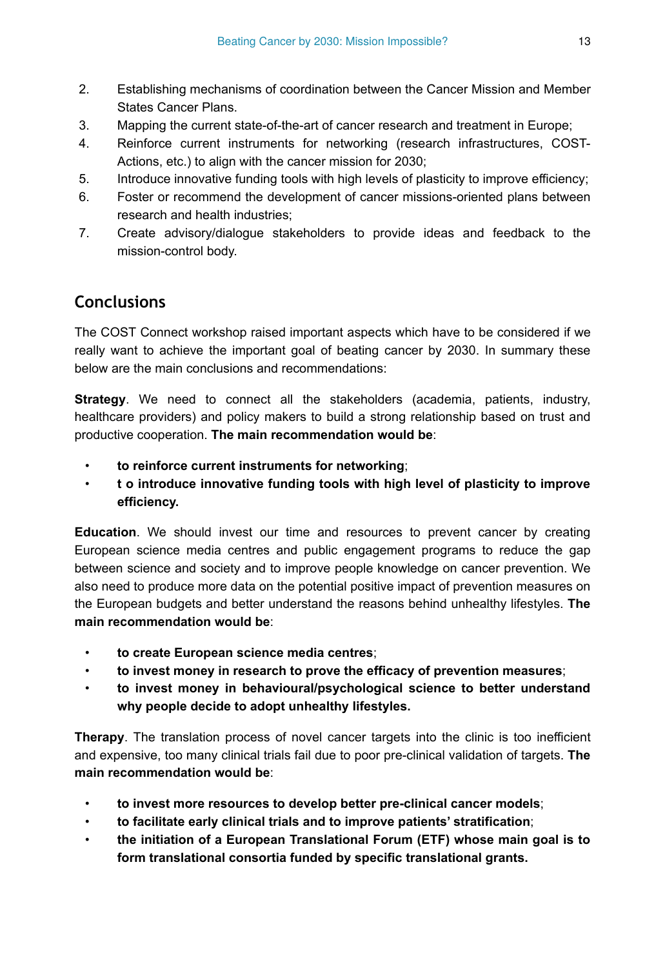- 2. Establishing mechanisms of coordination between the Cancer Mission and Member States Cancer Plans.
- 3. Mapping the current state-of-the-art of cancer research and treatment in Europe;
- 4. Reinforce current instruments for networking (research infrastructures, COST-Actions, etc.) to align with the cancer mission for 2030;
- 5. Introduce innovative funding tools with high levels of plasticity to improve efficiency;
- 6. Foster or recommend the development of cancer missions-oriented plans between research and health industries;
- 7. Create advisory/dialogue stakeholders to provide ideas and feedback to the mission-control body.

# **Conclusions**

The COST Connect workshop raised important aspects which have to be considered if we really want to achieve the important goal of beating cancer by 2030. In summary these below are the main conclusions and recommendations:

**Strategy**. We need to connect all the stakeholders (academia, patients, industry, healthcare providers) and policy makers to build a strong relationship based on trust and productive cooperation. **The main recommendation would be**:

- **to reinforce current instruments for networking**;
- **t o introduce innovative funding tools with high level of plasticity to improve efficiency.**

**Education**. We should invest our time and resources to prevent cancer by creating European science media centres and public engagement programs to reduce the gap between science and society and to improve people knowledge on cancer prevention. We also need to produce more data on the potential positive impact of prevention measures on the European budgets and better understand the reasons behind unhealthy lifestyles. **The main recommendation would be**:

- **to create European science media centres**;
- **to invest money in research to prove the efficacy of prevention measures**;
- **to invest money in behavioural/psychological science to better understand why people decide to adopt unhealthy lifestyles.**

**Therapy**. The translation process of novel cancer targets into the clinic is too inefficient and expensive, too many clinical trials fail due to poor pre-clinical validation of targets. **The main recommendation would be**:

- **to invest more resources to develop better pre-clinical cancer models**;
- **to facilitate early clinical trials and to improve patients' stratification**;
- **the initiation of a European Translational Forum (ETF) whose main goal is to form translational consortia funded by specific translational grants.**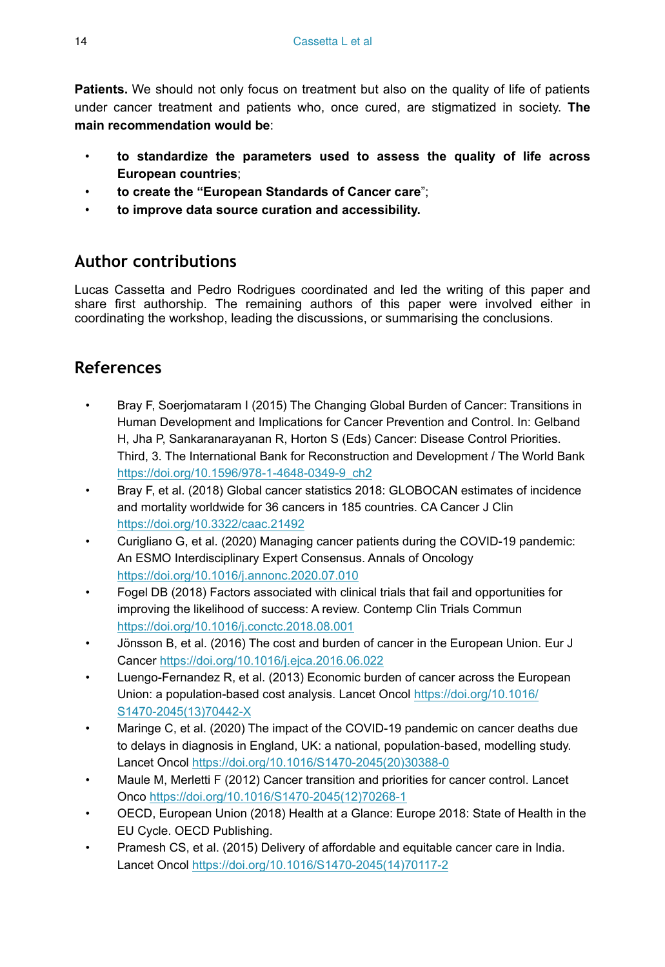**Patients.** We should not only focus on treatment but also on the quality of life of patients under cancer treatment and patients who, once cured, are stigmatized in society. **The main recommendation would be**:

- **to standardize the parameters used to assess the quality of life across European countries**;
- **to create the "European Standards of Cancer care**";
- **to improve data source curation and accessibility.**

## **Author contributions**

Lucas Cassetta and Pedro Rodrigues coordinated and led the writing of this paper and share first authorship. The remaining authors of this paper were involved either in coordinating the workshop, leading the discussions, or summarising the conclusions.

## **References**

- Bray F, Soerjomataram I (2015) The Changing Global Burden of Cancer: Transitions in Human Development and Implications for Cancer Prevention and Control. In: Gelband H, Jha P, Sankaranarayanan R, Horton S (Eds) Cancer: Disease Control Priorities. Third, 3. The International Bank for Reconstruction and Development / The World Bank [https://doi.org/10.1596/978-1-4648-0349-9\\_ch2](https://doi.org/10.1596/978-1-4648-0349-9_ch2)
- Bray F, et al. (2018) Global cancer statistics 2018: GLOBOCAN estimates of incidence and mortality worldwide for 36 cancers in 185 countries. CA Cancer J Clin <https://doi.org/10.3322/caac.21492>
- Curigliano G, et al. (2020) Managing cancer patients during the COVID-19 pandemic: An ESMO Interdisciplinary Expert Consensus. Annals of Oncology <https://doi.org/10.1016/j.annonc.2020.07.010>
- Fogel DB (2018) Factors associated with clinical trials that fail and opportunities for improving the likelihood of success: A review. Contemp Clin Trials Commun <https://doi.org/10.1016/j.conctc.2018.08.001>
- Jönsson B, et al. (2016) The cost and burden of cancer in the European Union. Eur J Cancer<https://doi.org/10.1016/j.ejca.2016.06.022>
- Luengo-Fernandez R, et al. (2013) Economic burden of cancer across the European Union: a population-based cost analysis. Lancet Oncol [https://doi.org/10.1016/](https://doi.org/10.1016/S1470-2045(13)70442-X) [S1470-2045\(13\)70442-X](https://doi.org/10.1016/S1470-2045(13)70442-X)
- Maringe C, et al. (2020) The impact of the COVID-19 pandemic on cancer deaths due to delays in diagnosis in England, UK: a national, population-based, modelling study. Lancet Oncol [https://doi.org/10.1016/S1470-2045\(20\)30388-0](https://doi.org/10.1016/S1470-2045(20)30388-0)
- Maule M, Merletti F (2012) Cancer transition and priorities for cancer control. Lancet Onco [https://doi.org/10.1016/S1470-2045\(12\)70268-1](https://doi.org/10.1016/S1470-2045(12)70268-1)
- OECD, European Union (2018) Health at a Glance: Europe 2018: State of Health in the EU Cycle. OECD Publishing.
- Pramesh CS, et al. (2015) Delivery of affordable and equitable cancer care in India. Lancet Oncol [https://doi.org/10.1016/S1470-2045\(14\)70117-2](https://doi.org/10.1016/S1470-2045(14)70117-2)